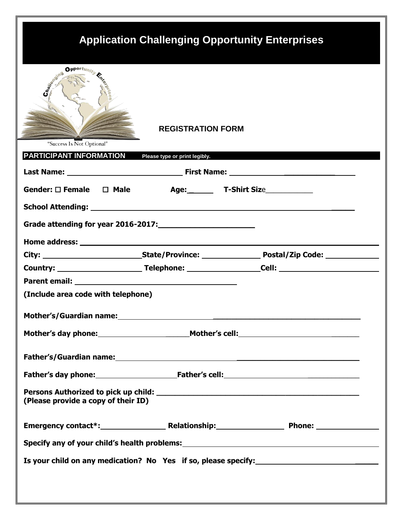# **Application Challenging Opportunity Enterprises**



# **REGISTRATION FORM**

|  |  |  | "Success Is Not Optional" |  |
|--|--|--|---------------------------|--|
|--|--|--|---------------------------|--|

| <b>PARTICIPANT INFORMATION</b> Please type or print legibly.                                                                                                                                                                         |  |                                                                                                                                                                     |
|--------------------------------------------------------------------------------------------------------------------------------------------------------------------------------------------------------------------------------------|--|---------------------------------------------------------------------------------------------------------------------------------------------------------------------|
|                                                                                                                                                                                                                                      |  |                                                                                                                                                                     |
| Gender: $\square$ Female $\square$ Male                                                                                                                                                                                              |  |                                                                                                                                                                     |
|                                                                                                                                                                                                                                      |  | School Attending: No. 2014 19: 20:20 19:20 19:20 19:20 19:20 19:20 19:20 19:20 19:20 19:20 19:20 19:20 19:20 1                                                      |
|                                                                                                                                                                                                                                      |  |                                                                                                                                                                     |
| Home address: North and the state of the state of the state of the state of the state of the state of the state of the state of the state of the state of the state of the state of the state of the state of the state of the       |  |                                                                                                                                                                     |
|                                                                                                                                                                                                                                      |  |                                                                                                                                                                     |
|                                                                                                                                                                                                                                      |  |                                                                                                                                                                     |
| Parent email: <u>New York: New York: New York: New York: New York: New York: New York: New York: New York: New York: New York: New York: New York: New York: New York: New York: New York: New York: New York: New York: New Yor</u> |  |                                                                                                                                                                     |
| (Include area code with telephone)                                                                                                                                                                                                   |  |                                                                                                                                                                     |
|                                                                                                                                                                                                                                      |  | Mother's/Guardian name: Manual Communication of the Communication of the Communication of the Communication of<br>Mother's day phone: Mother's cell: Mother's cell: |
|                                                                                                                                                                                                                                      |  |                                                                                                                                                                     |
|                                                                                                                                                                                                                                      |  | Father's day phone: Father's cell: Father's continuous manual control of the set of the set of the set of the s                                                     |
| (Please provide a copy of their ID)                                                                                                                                                                                                  |  |                                                                                                                                                                     |
|                                                                                                                                                                                                                                      |  |                                                                                                                                                                     |
|                                                                                                                                                                                                                                      |  | Specify any of your child's health problems:<br>Specify any of your child's health problems:<br>Specify any of your child's health problems:                        |
|                                                                                                                                                                                                                                      |  | Is your child on any medication? No Yes if so, please specify:                                                                                                      |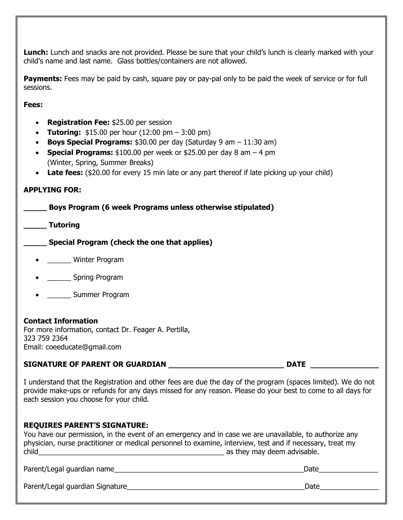**Lunch:** Lunch and snacks are not provided. Please be sure that your child's lunch is clearly marked with your child's name and last name. Glass bottles/containers are not allowed.

Payments: Fees may be paid by cash, square pay or pay-pal only to be paid the week of service or for full sessions.

**Fees:**

- **Registration Fee:** \$25.00 per session
- **Tutoring:** \$15.00 per hour (12:00 pm 3:00 pm)
- **Boys Special Programs:** \$30.00 per day (Saturday 9 am 11:30 am)
- **Special Programs:** \$100.00 per week or \$25.00 per day 8 am 4 pm (Winter, Spring, Summer Breaks)
- Late fees: (\$20.00 for every 15 min late or any part thereof if late picking up your child)

### **APPLYING FOR:**

**\_\_\_\_\_ Boys Program (6 week Programs unless otherwise stipulated)**

**\_\_\_\_\_ Tutoring**

**\_\_\_\_\_ Special Program (check the one that applies)**

- \_\_\_\_\_\_ Winter Program
- **\_\_\_\_\_\_** Spring Program
- \_\_\_\_\_\_ Summer Program

## **Contact Information**

For more information, contact Dr. Feager A. Pertilla, 323 759 2364 Email: coeeducate@gmail.com

#### **SIGNATURE OF PARENT OR GUARDIAN**  $\qquad$  **DATE**

I understand that the Registration and other fees are due the day of the program (spaces limited). We do not provide make-ups or refunds for any days missed for any reason. Please do your best to come to all days for each session you choose for your child.

#### **REQUIRES PARENT'S SIGNATURE:**

|       | physician, nurse practitioner or medical personnel to examine, interview, test and if necessary, treat my |
|-------|-----------------------------------------------------------------------------------------------------------|
| child | as they may deem advisable.                                                                               |

Parent/Legal guardian name\_\_\_\_\_\_\_\_\_\_\_\_\_\_\_\_\_\_\_\_\_\_\_\_\_\_\_\_\_\_\_\_\_\_\_\_\_\_\_\_\_\_\_\_\_\_\_\_Date\_\_\_\_\_\_\_\_\_\_\_\_\_\_\_

Parent/Legal guardian Signature